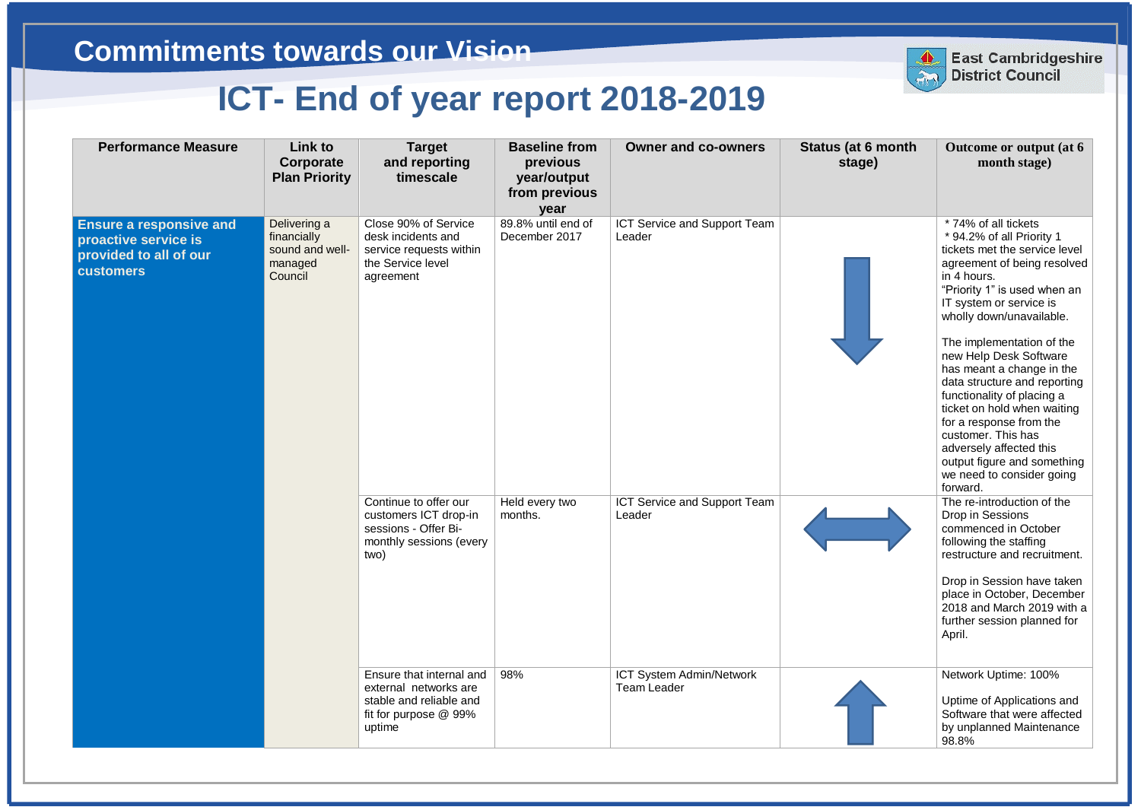| <b>Performance Measure</b>                                                                           | Link to<br>Corporate<br><b>Plan Priority</b>                         | <b>Target</b><br>and reporting<br>timescale                                                                     | <b>Baseline from</b><br>previous<br>year/output<br>from previous<br>year | <b>Owner and co-owners</b>                     | <b>Status (at 6 month</b><br>stage) | Outcome or output (at 6<br>month stage)                                                                                                                                                                                                                                                                                                                                                                                                                                                                                                                      |
|------------------------------------------------------------------------------------------------------|----------------------------------------------------------------------|-----------------------------------------------------------------------------------------------------------------|--------------------------------------------------------------------------|------------------------------------------------|-------------------------------------|--------------------------------------------------------------------------------------------------------------------------------------------------------------------------------------------------------------------------------------------------------------------------------------------------------------------------------------------------------------------------------------------------------------------------------------------------------------------------------------------------------------------------------------------------------------|
| <b>Ensure a responsive and</b><br>proactive service is<br>provided to all of our<br><b>customers</b> | Delivering a<br>financially<br>sound and well-<br>managed<br>Council | Close 90% of Service<br>desk incidents and<br>service requests within<br>the Service level<br>agreement         | 89.8% until end of<br>December 2017                                      | ICT Service and Support Team<br>Leader         |                                     | * 74% of all tickets<br>* 94.2% of all Priority 1<br>tickets met the service level<br>agreement of being resolved<br>in 4 hours.<br>"Priority 1" is used when an<br>IT system or service is<br>wholly down/unavailable.<br>The implementation of the<br>new Help Desk Software<br>has meant a change in the<br>data structure and reporting<br>functionality of placing a<br>ticket on hold when waiting<br>for a response from the<br>customer. This has<br>adversely affected this<br>output figure and something<br>we need to consider going<br>forward. |
|                                                                                                      |                                                                      | Continue to offer our<br>customers ICT drop-in<br>sessions - Offer Bi-<br>monthly sessions (every<br>two)       | Held every two<br>months.                                                | ICT Service and Support Team<br>Leader         |                                     | The re-introduction of the<br>Drop in Sessions<br>commenced in October<br>following the staffing<br>restructure and recruitment.<br>Drop in Session have taken<br>place in October, December<br>2018 and March 2019 with a<br>further session planned for<br>April.                                                                                                                                                                                                                                                                                          |
|                                                                                                      |                                                                      | Ensure that internal and<br>external networks are<br>stable and reliable and<br>fit for purpose @ 99%<br>uptime | 98%                                                                      | ICT System Admin/Network<br><b>Team Leader</b> |                                     | Network Uptime: 100%<br>Uptime of Applications and<br>Software that were affected<br>by unplanned Maintenance<br>98.8%                                                                                                                                                                                                                                                                                                                                                                                                                                       |



**East Cambridgeshire District Council**

## **East Cambridgeshire District Council**

## **Commitments towards our Vision**

## **ICT- End of year report 2018-2019**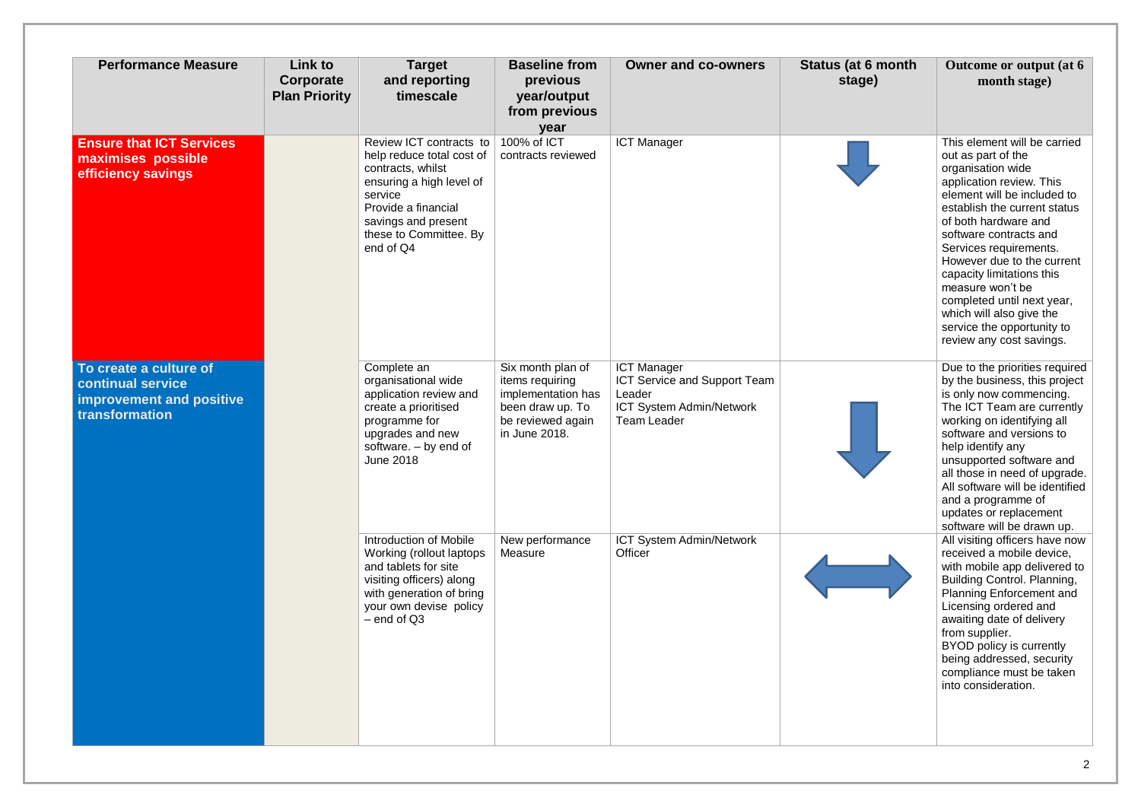| <b>Performance Measure</b>                                                                | Link to<br>Corporate<br><b>Plan Priority</b> | <b>Target</b><br>and reporting<br>timescale                                                                                                                                                           | <b>Baseline from</b><br>previous<br>year/output<br>from previous<br>year                                             | <b>Owner and co-owners</b>                                                                                            | <b>Status (at 6 month</b><br>stage) | Outcome or output (at 6<br>month stage)                                                                                                                                                                                                                                                                                                                                                                                                           |
|-------------------------------------------------------------------------------------------|----------------------------------------------|-------------------------------------------------------------------------------------------------------------------------------------------------------------------------------------------------------|----------------------------------------------------------------------------------------------------------------------|-----------------------------------------------------------------------------------------------------------------------|-------------------------------------|---------------------------------------------------------------------------------------------------------------------------------------------------------------------------------------------------------------------------------------------------------------------------------------------------------------------------------------------------------------------------------------------------------------------------------------------------|
| <b>Ensure that ICT Services</b><br>maximises possible<br>efficiency savings               |                                              | Review ICT contracts to<br>help reduce total cost of<br>contracts, whilst<br>ensuring a high level of<br>service<br>Provide a financial<br>savings and present<br>these to Committee. By<br>end of Q4 | 100% of ICT<br>contracts reviewed                                                                                    | <b>ICT Manager</b>                                                                                                    |                                     | This element will be carried<br>out as part of the<br>organisation wide<br>application review. This<br>element will be included to<br>establish the current status<br>of both hardware and<br>software contracts and<br>Services requirements.<br>However due to the current<br>capacity limitations this<br>measure won't be<br>completed until next year,<br>which will also give the<br>service the opportunity to<br>review any cost savings. |
| To create a culture of<br>continual service<br>improvement and positive<br>transformation |                                              | Complete an<br>organisational wide<br>application review and<br>create a prioritised<br>programme for<br>upgrades and new<br>software. - by end of<br><b>June 2018</b>                                | Six month plan of<br>items requiring<br>implementation has<br>been draw up. To<br>be reviewed again<br>in June 2018. | <b>ICT Manager</b><br>ICT Service and Support Team<br>Leader<br><b>ICT System Admin/Network</b><br><b>Team Leader</b> |                                     | Due to the priorities required<br>by the business, this project<br>is only now commencing.<br>The ICT Team are currently<br>working on identifying all<br>software and versions to<br>help identify any<br>unsupported software and<br>all those in need of upgrade.<br>All software will be identified<br>and a programme of<br>updates or replacement<br>software will be drawn up.                                                             |
|                                                                                           |                                              | Introduction of Mobile<br>Working (rollout laptops)<br>and tablets for site<br>visiting officers) along<br>with generation of bring<br>your own devise policy<br>$-$ end of $Q3$                      | New performance<br>Measure                                                                                           | ICT System Admin/Network<br>Officer                                                                                   |                                     | All visiting officers have now<br>received a mobile device,<br>with mobile app delivered to<br>Building Control. Planning,<br><b>Planning Enforcement and</b><br>Licensing ordered and<br>awaiting date of delivery<br>from supplier.<br>BYOD policy is currently<br>being addressed, security<br>compliance must be taken<br>into consideration.                                                                                                 |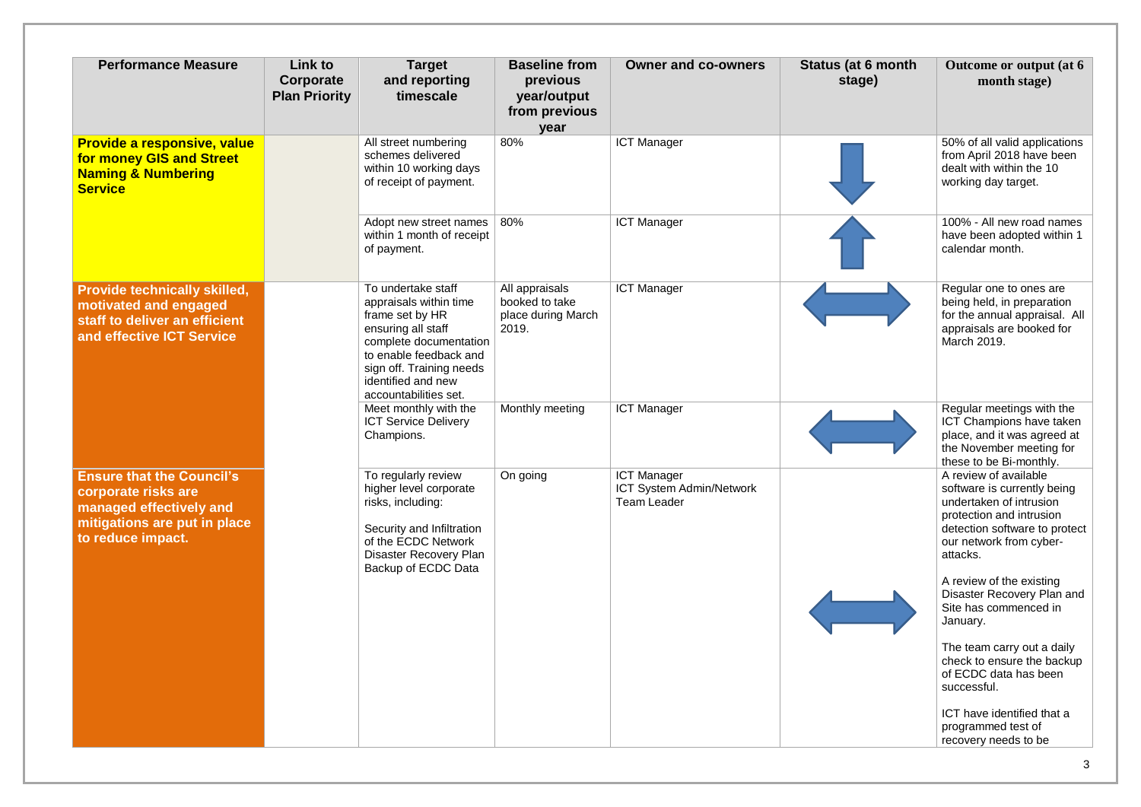| <b>Performance Measure</b>                                                                                                              | Link to<br>Corporate<br><b>Plan Priority</b> | <b>Target</b><br>and reporting<br>timescale                                                                                                                                                                          | <b>Baseline from</b><br>previous<br>year/output<br>from previous<br>year | <b>Owner and co-owners</b>                                           | <b>Status (at 6 month</b><br>stage) | Outcome or output (at 6<br>month stage)                                                                                                                                                                                                                                                                          |
|-----------------------------------------------------------------------------------------------------------------------------------------|----------------------------------------------|----------------------------------------------------------------------------------------------------------------------------------------------------------------------------------------------------------------------|--------------------------------------------------------------------------|----------------------------------------------------------------------|-------------------------------------|------------------------------------------------------------------------------------------------------------------------------------------------------------------------------------------------------------------------------------------------------------------------------------------------------------------|
| Provide a responsive, value<br>for money GIS and Street<br><b>Naming &amp; Numbering</b><br><b>Service</b>                              |                                              | All street numbering<br>schemes delivered<br>within 10 working days<br>of receipt of payment.                                                                                                                        | 80%                                                                      | <b>ICT Manager</b>                                                   |                                     | 50% of all valid applications<br>from April 2018 have been<br>dealt with within the 10<br>working day target.                                                                                                                                                                                                    |
|                                                                                                                                         |                                              | Adopt new street names<br>within 1 month of receipt<br>of payment.                                                                                                                                                   | 80%                                                                      | <b>ICT Manager</b>                                                   |                                     | 100% - All new road names<br>have been adopted within 1<br>calendar month.                                                                                                                                                                                                                                       |
| <b>Provide technically skilled,</b><br>motivated and engaged<br>staff to deliver an efficient<br>and effective ICT Service              |                                              | To undertake staff<br>appraisals within time<br>frame set by HR<br>ensuring all staff<br>complete documentation<br>to enable feedback and<br>sign off. Training needs<br>identified and new<br>accountabilities set. | All appraisals<br>booked to take<br>place during March<br>2019.          | <b>ICT Manager</b>                                                   |                                     | Regular one to ones are<br>being held, in preparation<br>for the annual appraisal. All<br>appraisals are booked for<br>March 2019.                                                                                                                                                                               |
|                                                                                                                                         |                                              | Meet monthly with the<br><b>ICT Service Delivery</b><br>Champions.                                                                                                                                                   | Monthly meeting                                                          | <b>ICT Manager</b>                                                   |                                     | Regular meetings with the<br>ICT Champions have taken<br>place, and it was agreed at<br>the November meeting for<br>these to be Bi-monthly.                                                                                                                                                                      |
| <b>Ensure that the Council's</b><br>corporate risks are<br>managed effectively and<br>mitigations are put in place<br>to reduce impact. |                                              | To regularly review<br>higher level corporate<br>risks, including:<br>Security and Infiltration<br>of the ECDC Network<br>Disaster Recovery Plan<br>Backup of ECDC Data                                              | On going                                                                 | <b>ICT Manager</b><br><b>ICT System Admin/Network</b><br>Team Leader |                                     | A review of available<br>software is currently being<br>undertaken of intrusion<br>protection and intrusion<br>detection software to protect<br>our network from cyber-<br>attacks.<br>A review of the existing<br>Disaster Recovery Plan and<br>Site has commenced in<br>January.<br>The team carry out a daily |
|                                                                                                                                         |                                              |                                                                                                                                                                                                                      |                                                                          |                                                                      |                                     | check to ensure the backup<br>of ECDC data has been<br>successful.<br>ICT have identified that a<br>programmed test of<br>recovery needs to be                                                                                                                                                                   |